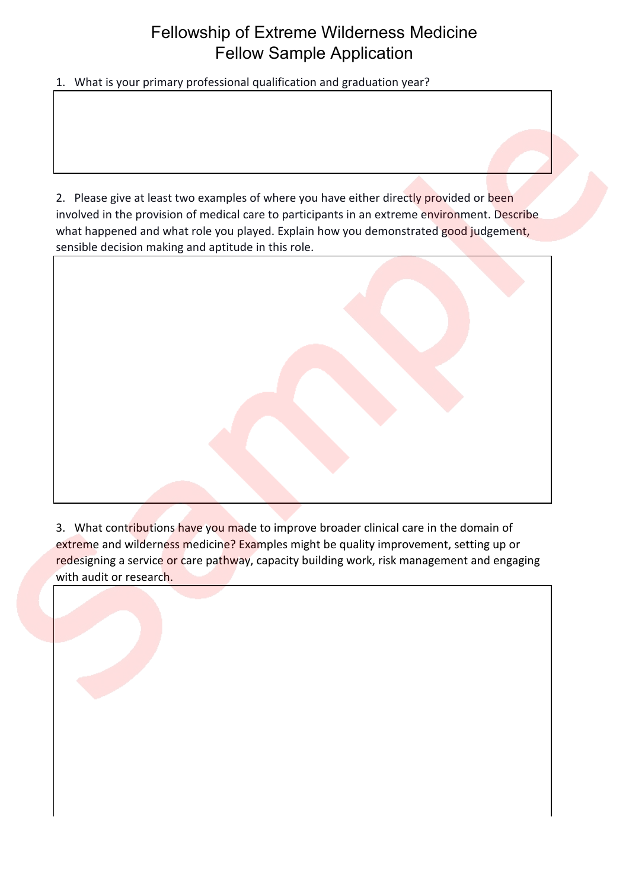## Fellowship of Extreme Wilderness Medicine Fellow Sample Application

1. What is your primary professional qualification and graduation year?

2. Please give at least two examples of where you have either directly provided or been involved in the provision of medical care to participants in an extreme environment. Describe what happened and what role you played. Explain how you demonstrated good judgement, sensible decision making and aptitude in this role.



3. What contributions have you made to improve broader clinical care in the domain of extreme and wilderness medicine? Examples might be quality improvement, setting up or redesigning a service or care pathway, capacity building work, risk management and engaging with audit or research.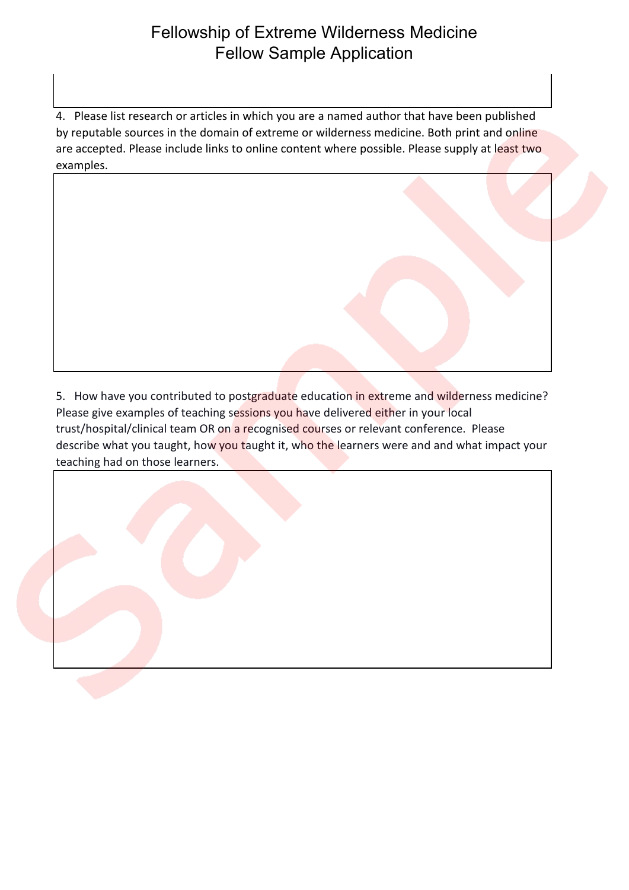## Fellowship of Extreme Wilderness Medicine Fellow Sample Application

4. Please list research or articles in which you are a named author that have been published by reputable sources in the domain of extreme or wilderness medicine. Both print and online are accepted. Please include links to online content where possible. Please supply at least two examples.



5. How have you contributed to postgraduate education in extreme and wilderness medicine? Please give examples of teaching sessions you have delivered either in your local trust/hospital/clinical team OR on a recognised courses or relevant conference. Please describe what you taught, how you taught it, who the learners were and and what impact your teaching had on those learners.